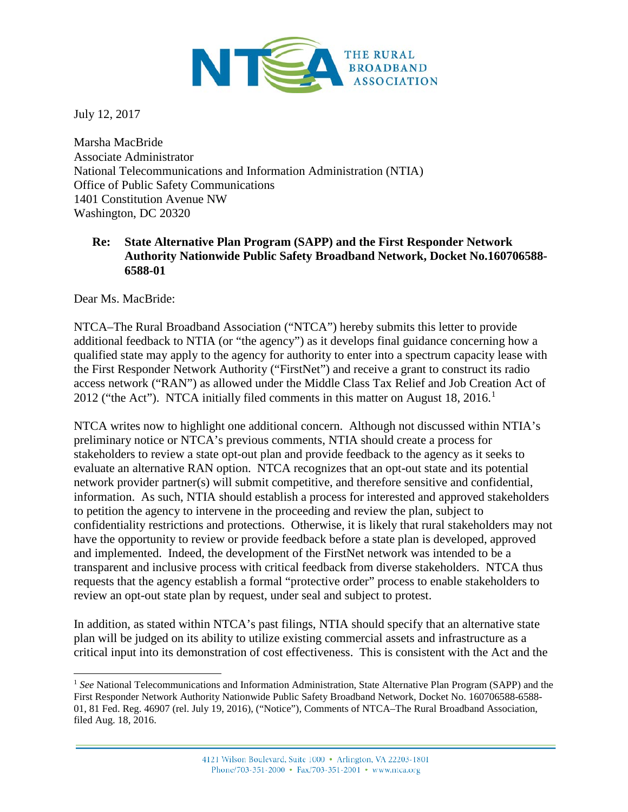

July 12, 2017

Marsha MacBride Associate Administrator National Telecommunications and Information Administration (NTIA) Office of Public Safety Communications 1401 Constitution Avenue NW Washington, DC 20320

## **Re: State Alternative Plan Program (SAPP) and the First Responder Network Authority Nationwide Public Safety Broadband Network, Docket No.160706588- 6588-01**

Dear Ms. MacBride:

NTCA–The Rural Broadband Association ("NTCA") hereby submits this letter to provide additional feedback to NTIA (or "the agency") as it develops final guidance concerning how a qualified state may apply to the agency for authority to enter into a spectrum capacity lease with the First Responder Network Authority ("FirstNet") and receive a grant to construct its radio access network ("RAN") as allowed under the Middle Class Tax Relief and Job Creation Act of 20[1](#page-0-0)2 ("the Act"). NTCA initially filed comments in this matter on August  $18, 2016$ .<sup>1</sup>

NTCA writes now to highlight one additional concern. Although not discussed within NTIA's preliminary notice or NTCA's previous comments, NTIA should create a process for stakeholders to review a state opt-out plan and provide feedback to the agency as it seeks to evaluate an alternative RAN option. NTCA recognizes that an opt-out state and its potential network provider partner(s) will submit competitive, and therefore sensitive and confidential, information. As such, NTIA should establish a process for interested and approved stakeholders to petition the agency to intervene in the proceeding and review the plan, subject to confidentiality restrictions and protections. Otherwise, it is likely that rural stakeholders may not have the opportunity to review or provide feedback before a state plan is developed, approved and implemented. Indeed, the development of the FirstNet network was intended to be a transparent and inclusive process with critical feedback from diverse stakeholders. NTCA thus requests that the agency establish a formal "protective order" process to enable stakeholders to review an opt-out state plan by request, under seal and subject to protest.

In addition, as stated within NTCA's past filings, NTIA should specify that an alternative state plan will be judged on its ability to utilize existing commercial assets and infrastructure as a critical input into its demonstration of cost effectiveness. This is consistent with the Act and the

<span id="page-0-0"></span><sup>1</sup> *See* National Telecommunications and Information Administration, State Alternative Plan Program (SAPP) and the First Responder Network Authority Nationwide Public Safety Broadband Network, Docket No. 160706588-6588- 01, 81 Fed. Reg. 46907 (rel. July 19, 2016), ("Notice"), Comments of NTCA–The Rural Broadband Association, filed Aug. 18, 2016.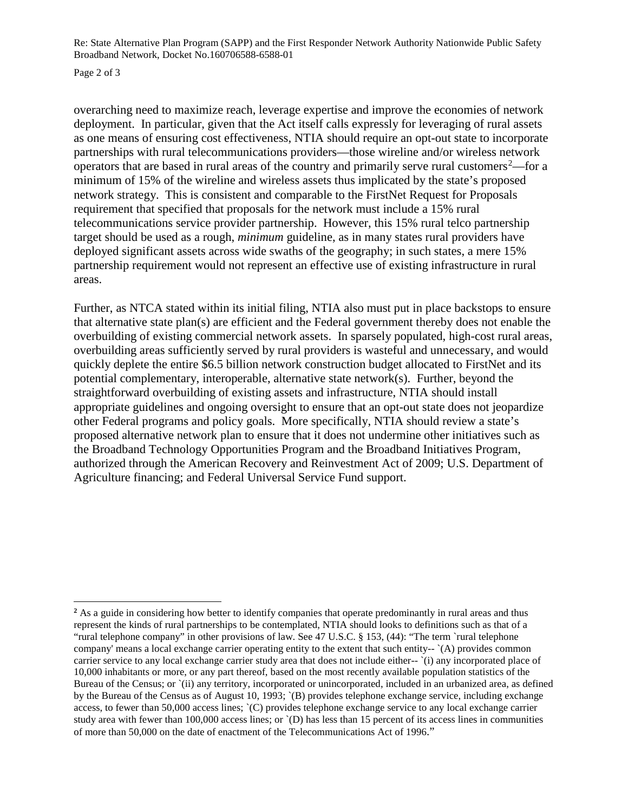Re: State Alternative Plan Program (SAPP) and the First Responder Network Authority Nationwide Public Safety Broadband Network, Docket No.160706588-6588-01

Page 2 of 3

overarching need to maximize reach, leverage expertise and improve the economies of network deployment. In particular, given that the Act itself calls expressly for leveraging of rural assets as one means of ensuring cost effectiveness, NTIA should require an opt-out state to incorporate partnerships with rural telecommunications providers—those wireline and/or wireless network operators that are based in rural areas of the country and primarily serve rural customers<sup>[2](#page-1-0)</sup>—for a minimum of 15% of the wireline and wireless assets thus implicated by the state's proposed network strategy. This is consistent and comparable to the FirstNet Request for Proposals requirement that specified that proposals for the network must include a 15% rural telecommunications service provider partnership. However, this 15% rural telco partnership target should be used as a rough, *minimum* guideline, as in many states rural providers have deployed significant assets across wide swaths of the geography; in such states, a mere 15% partnership requirement would not represent an effective use of existing infrastructure in rural areas.

Further, as NTCA stated within its initial filing, NTIA also must put in place backstops to ensure that alternative state plan(s) are efficient and the Federal government thereby does not enable the overbuilding of existing commercial network assets. In sparsely populated, high-cost rural areas, overbuilding areas sufficiently served by rural providers is wasteful and unnecessary, and would quickly deplete the entire \$6.5 billion network construction budget allocated to FirstNet and its potential complementary, interoperable, alternative state network(s). Further, beyond the straightforward overbuilding of existing assets and infrastructure, NTIA should install appropriate guidelines and ongoing oversight to ensure that an opt-out state does not jeopardize other Federal programs and policy goals. More specifically, NTIA should review a state's proposed alternative network plan to ensure that it does not undermine other initiatives such as the Broadband Technology Opportunities Program and the Broadband Initiatives Program, authorized through the American Recovery and Reinvestment Act of 2009; U.S. Department of Agriculture financing; and Federal Universal Service Fund support.

<span id="page-1-0"></span><sup>&</sup>lt;sup>2</sup> As a guide in considering how better to identify companies that operate predominantly in rural areas and thus represent the kinds of rural partnerships to be contemplated, NTIA should looks to definitions such as that of a "rural telephone company" in other provisions of law. See 47 U.S.C. § 153, (44): "The term `rural telephone company' means a local exchange carrier operating entity to the extent that such entity-- `(A) provides common carrier service to any local exchange carrier study area that does not include either-- '(i) any incorporated place of 10,000 inhabitants or more, or any part thereof, based on the most recently available population statistics of the Bureau of the Census; or `(ii) any territory, incorporated or unincorporated, included in an urbanized area, as defined by the Bureau of the Census as of August 10, 1993; `(B) provides telephone exchange service, including exchange access, to fewer than 50,000 access lines; `(C) provides telephone exchange service to any local exchange carrier study area with fewer than 100,000 access lines; or `(D) has less than 15 percent of its access lines in communities of more than 50,000 on the date of enactment of the Telecommunications Act of 1996."